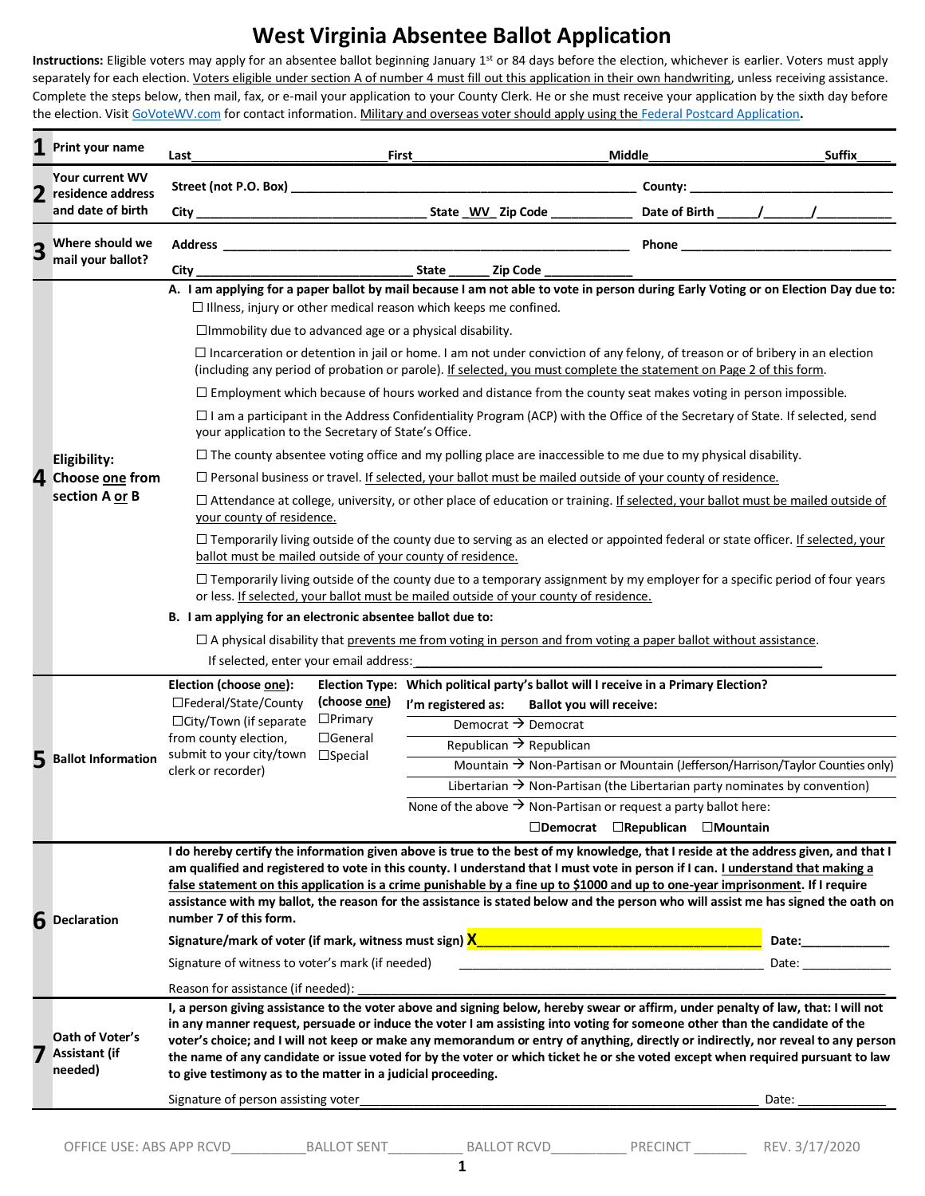## **West Virginia Absentee Ballot Application**

**Instructions:** Eligible voters may apply for an absentee ballot beginning January 1st or 84 days before the election, whichever is earlier. Voters must apply separately for each election. Voters eligible under section A of number 4 must fill out this application in their own handwriting, unless receiving assistance. Complete the steps below, then mail, fax, or e-mail your application to your County Clerk. He or she must receive your application by the sixth day before the election. Visi[t GoVoteWV.com](https://sos.wv.gov/elections/Pages/GoVoteWV.aspx) for contact information. Military and overseas voter should apply using the [Federal Postcard Application](https://www.fvap.gov/uploads/FVAP/Forms/fpca.pdf)**.**

|   | Print your name                                           | Last                                                                                                                                                                                                                                                                                                                                                                                                                                                                                                                                                                                                                                                                                                                                                                                                                                                                                                                                                                                                                                                                                                                                                                                                                                                                                                                                                                                                                                                                                                                                                                                                                                                                                                                                                                           | Middle<br>First                                                                                                                                                                                                 | <b>Suffix</b>                                                                                                                                                                                                                            |  |  |  |  |
|---|-----------------------------------------------------------|--------------------------------------------------------------------------------------------------------------------------------------------------------------------------------------------------------------------------------------------------------------------------------------------------------------------------------------------------------------------------------------------------------------------------------------------------------------------------------------------------------------------------------------------------------------------------------------------------------------------------------------------------------------------------------------------------------------------------------------------------------------------------------------------------------------------------------------------------------------------------------------------------------------------------------------------------------------------------------------------------------------------------------------------------------------------------------------------------------------------------------------------------------------------------------------------------------------------------------------------------------------------------------------------------------------------------------------------------------------------------------------------------------------------------------------------------------------------------------------------------------------------------------------------------------------------------------------------------------------------------------------------------------------------------------------------------------------------------------------------------------------------------------|-----------------------------------------------------------------------------------------------------------------------------------------------------------------------------------------------------------------|------------------------------------------------------------------------------------------------------------------------------------------------------------------------------------------------------------------------------------------|--|--|--|--|
|   | Your current WV<br>residence address<br>and date of birth | Street (not P.O. Box) _                                                                                                                                                                                                                                                                                                                                                                                                                                                                                                                                                                                                                                                                                                                                                                                                                                                                                                                                                                                                                                                                                                                                                                                                                                                                                                                                                                                                                                                                                                                                                                                                                                                                                                                                                        | <u> 1980 - Johann Barbara, martxa alemaniar amerikan basar da da a shekara a shekara a shekara a shekara a shekar</u>                                                                                           |                                                                                                                                                                                                                                          |  |  |  |  |
|   |                                                           | $City$ <sub>--</sub>                                                                                                                                                                                                                                                                                                                                                                                                                                                                                                                                                                                                                                                                                                                                                                                                                                                                                                                                                                                                                                                                                                                                                                                                                                                                                                                                                                                                                                                                                                                                                                                                                                                                                                                                                           | State WV Zip Code ___________                                                                                                                                                                                   |                                                                                                                                                                                                                                          |  |  |  |  |
| З | Where should we<br>mail your ballot?                      | Address                                                                                                                                                                                                                                                                                                                                                                                                                                                                                                                                                                                                                                                                                                                                                                                                                                                                                                                                                                                                                                                                                                                                                                                                                                                                                                                                                                                                                                                                                                                                                                                                                                                                                                                                                                        | <u> 1980 - Johann Barn, fransk politik (f. 1980)</u>                                                                                                                                                            | Phone                                                                                                                                                                                                                                    |  |  |  |  |
|   |                                                           | City                                                                                                                                                                                                                                                                                                                                                                                                                                                                                                                                                                                                                                                                                                                                                                                                                                                                                                                                                                                                                                                                                                                                                                                                                                                                                                                                                                                                                                                                                                                                                                                                                                                                                                                                                                           |                                                                                                                                                                                                                 |                                                                                                                                                                                                                                          |  |  |  |  |
|   | Eligibility:<br>4 Choose one from<br>section A or B       | A. I am applying for a paper ballot by mail because I am not able to vote in person during Early Voting or on Election Day due to:<br>$\Box$ Illness, injury or other medical reason which keeps me confined.<br>$\Box$ Immobility due to advanced age or a physical disability.<br>$\Box$ Incarceration or detention in jail or home. I am not under conviction of any felony, of treason or of bribery in an election<br>(including any period of probation or parole). If selected, you must complete the statement on Page 2 of this form.<br>$\Box$ Employment which because of hours worked and distance from the county seat makes voting in person impossible.<br>$\Box$ I am a participant in the Address Confidentiality Program (ACP) with the Office of the Secretary of State. If selected, send<br>your application to the Secretary of State's Office.<br>$\Box$ The county absentee voting office and my polling place are inaccessible to me due to my physical disability.<br>$\Box$ Personal business or travel. If selected, your ballot must be mailed outside of your county of residence.<br>□ Attendance at college, university, or other place of education or training. If selected, your ballot must be mailed outside of<br>your county of residence.<br>□ Temporarily living outside of the county due to serving as an elected or appointed federal or state officer. If selected, your<br>ballot must be mailed outside of your county of residence.<br>$\Box$ Temporarily living outside of the county due to a temporary assignment by my employer for a specific period of four years<br>or less. If selected, your ballot must be mailed outside of your county of residence.<br>B. I am applying for an electronic absentee ballot due to: |                                                                                                                                                                                                                 |                                                                                                                                                                                                                                          |  |  |  |  |
|   |                                                           | $\Box$ A physical disability that prevents me from voting in person and from voting a paper ballot without assistance.<br>If selected, enter your email address:<br>Election (choose one):<br>Election Type: Which political party's ballot will I receive in a Primary Election?                                                                                                                                                                                                                                                                                                                                                                                                                                                                                                                                                                                                                                                                                                                                                                                                                                                                                                                                                                                                                                                                                                                                                                                                                                                                                                                                                                                                                                                                                              |                                                                                                                                                                                                                 |                                                                                                                                                                                                                                          |  |  |  |  |
|   | <b>Ballot Information</b>                                 | (choose one)<br>□Federal/State/County<br>$\Box$ Primary<br>□ City/Town (if separate<br>from county election,<br>$\Box$ General<br>submit to your city/town<br>$\square$ Special<br>clerk or recorder)                                                                                                                                                                                                                                                                                                                                                                                                                                                                                                                                                                                                                                                                                                                                                                                                                                                                                                                                                                                                                                                                                                                                                                                                                                                                                                                                                                                                                                                                                                                                                                          | I'm registered as:<br><b>Ballot you will receive:</b><br>Democrat $\rightarrow$ Democrat<br>Republican $\rightarrow$ Republican<br>None of the above $\rightarrow$ Non-Partisan or request a party ballot here: | Mountain $\rightarrow$ Non-Partisan or Mountain (Jefferson/Harrison/Taylor Counties only)<br>Libertarian $\rightarrow$ Non-Partisan (the Libertarian party nominates by convention)<br>$\Box$ Democrat $\Box$ Republican $\Box$ Mountain |  |  |  |  |
|   | 6 Declaration                                             | I do hereby certify the information given above is true to the best of my knowledge, that I reside at the address given, and that I<br>am qualified and registered to vote in this county. I understand that I must vote in person if I can. I understand that making a<br>false statement on this application is a crime punishable by a fine up to \$1000 and up to one-year imprisonment. If I require<br>assistance with my ballot, the reason for the assistance is stated below and the person who will assist me has signed the oath on<br>number 7 of this form.<br>Signature of witness to voter's mark (if needed)                                                                                                                                                                                                                                                                                                                                                                                                                                                                                                                                                                                                                                                                                                                                                                                                                                                                                                                                                                                                                                                                                                                                                   |                                                                                                                                                                                                                 |                                                                                                                                                                                                                                          |  |  |  |  |
|   | Oath of Voter's<br><b>Assistant (if</b><br>needed)        | Reason for assistance (if needed):<br>I, a person giving assistance to the voter above and signing below, hereby swear or affirm, under penalty of law, that: I will not<br>in any manner request, persuade or induce the voter I am assisting into voting for someone other than the candidate of the<br>voter's choice; and I will not keep or make any memorandum or entry of anything, directly or indirectly, nor reveal to any person<br>the name of any candidate or issue voted for by the voter or which ticket he or she voted except when required pursuant to law<br>to give testimony as to the matter in a judicial proceeding.<br>Date:                                                                                                                                                                                                                                                                                                                                                                                                                                                                                                                                                                                                                                                                                                                                                                                                                                                                                                                                                                                                                                                                                                                         |                                                                                                                                                                                                                 |                                                                                                                                                                                                                                          |  |  |  |  |